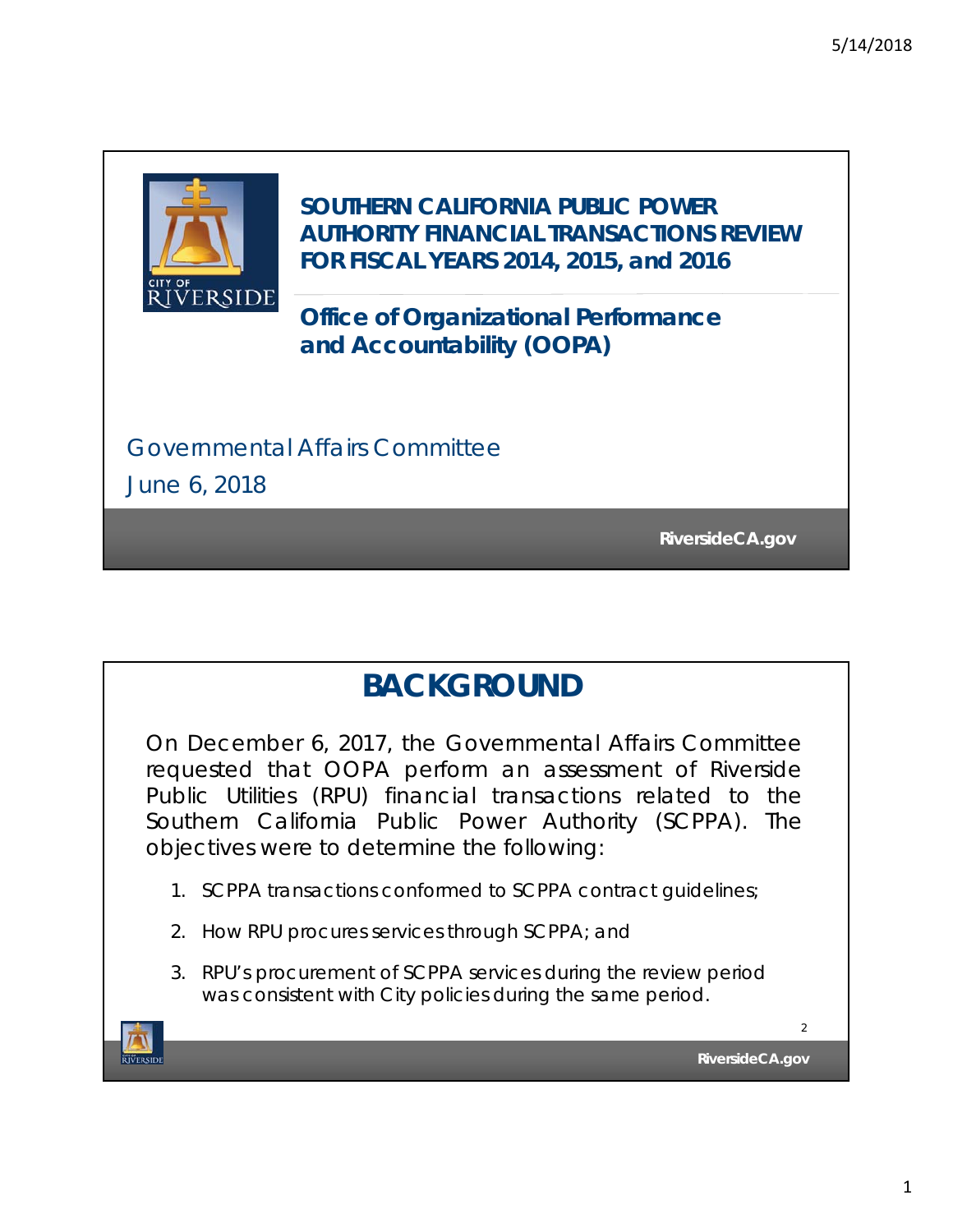

**SOUTHERN CALIFORNIA PUBLIC POWER AUTHORITY FINANCIAL TRANSACTIONS REVIEW FOR FISCAL YEARS 2014, 2015, and 2016**

**Office of Organizational Performance and Accountability (OOPA)**

Governmental Affairs Committee

June 6, 2018

**RiversideCA.gov RiversideCA.gov**

## **BACKGROUND**

On December 6, 2017, the Governmental Affairs Committee requested that OOPA perform an assessment of Riverside Public Utilities (RPU) financial transactions related to the Southern California Public Power Authority (SCPPA). The objectives were to determine the following:

- 1. SCPPA transactions conformed to SCPPA contract guidelines;
- 2. How RPU procures services through SCPPA; and
- 3. RPU's procurement of SCPPA services during the review period was consistent with City policies during the same period.

**TVERSIDE** 

**RiversideCA.gov**

 $\overline{2}$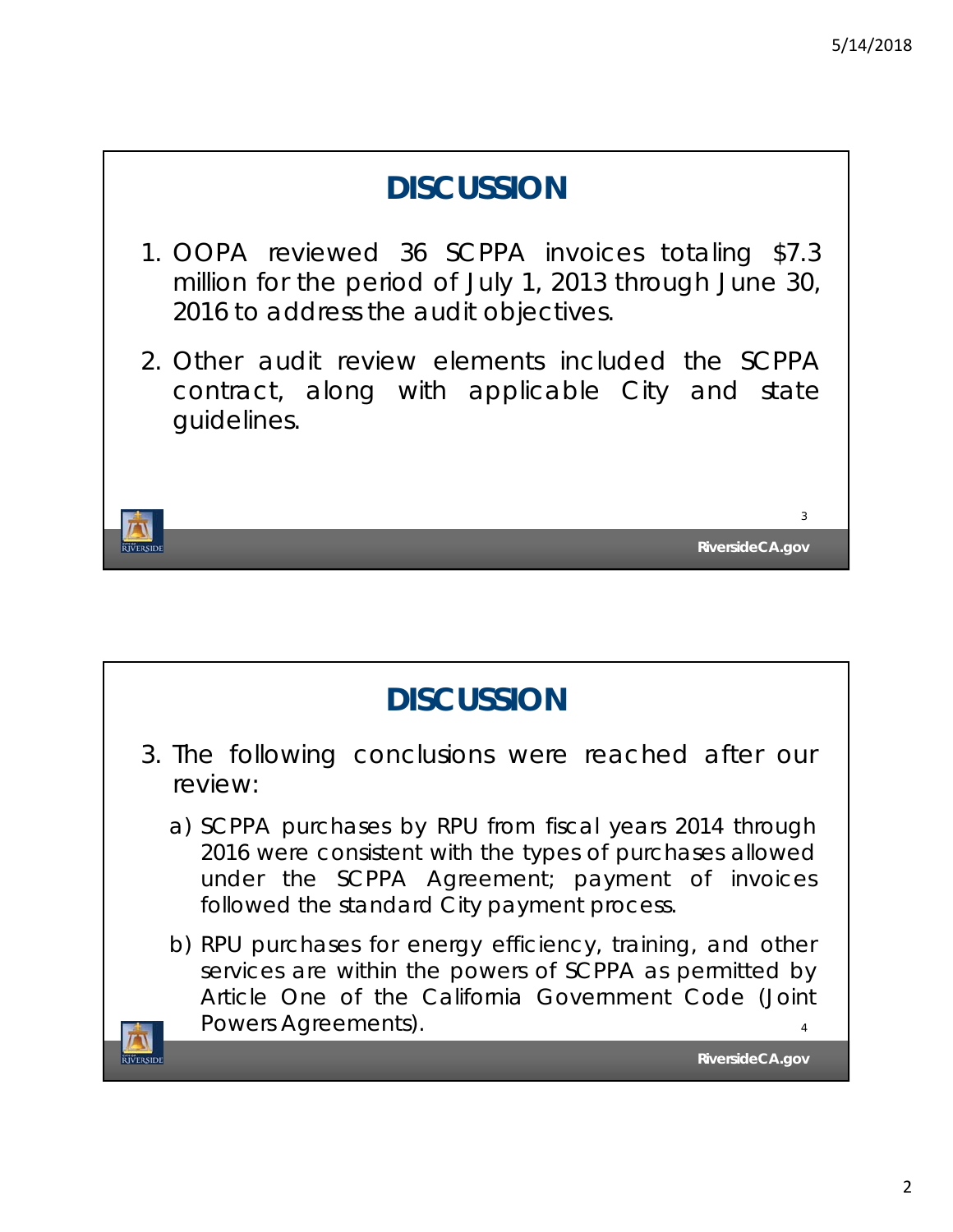**RiversideCA.gov**

3

## **DISCUSSION**

- 1. OOPA reviewed 36 SCPPA invoices totaling \$7.3 million for the period of July 1, 2013 through June 30, 2016 to address the audit objectives.
- 2. Other audit review elements included the SCPPA contract, along with applicable City and state guidelines.

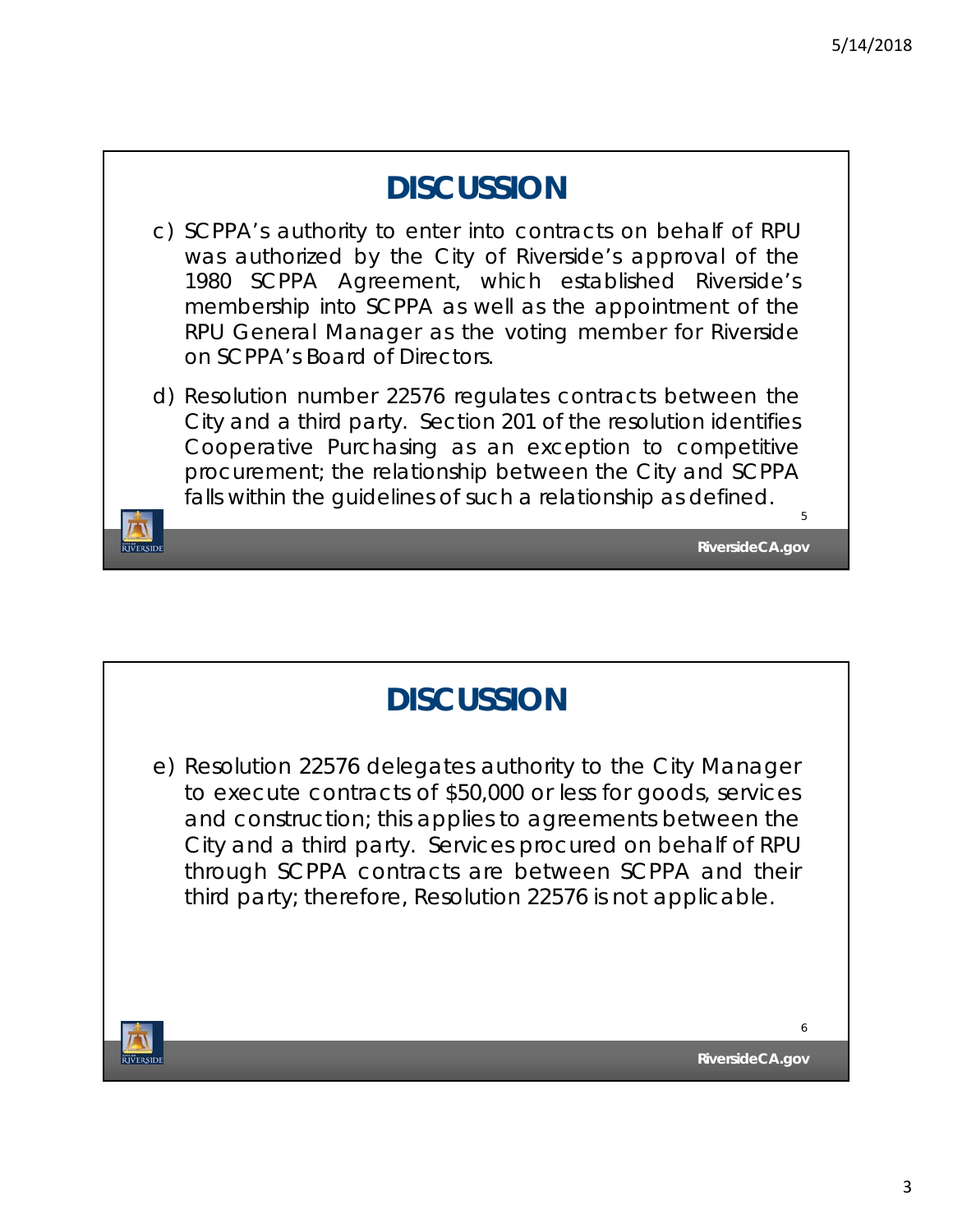